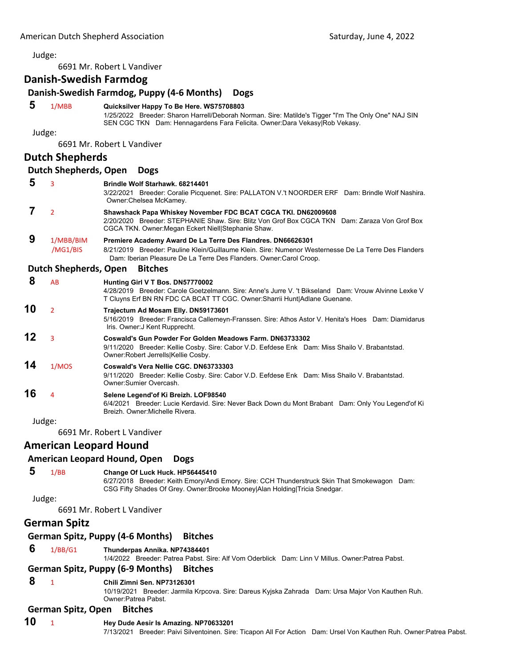Judge:

6691 Mr. Robert L Vandiver

## **Danish‐Swedish Farmdog**

## **Danish‐Swedish Farmdog, Puppy (4‐6 Months) Dogs 5** 1/MBB **Quicksilver Happy To Be Here. WS75708803** 1/25/2022 Breeder: Sharon Harrell/Deborah Norman. Sire: Matilde's Tigger "I'm The Only One" NAJ SIN SEN CGC TKN Dam: Hennagardens Fara Felicita. Owner:Dara Vekasy|Rob Vekasy. Judge: 6691 Mr. Robert L Vandiver **Dutch Shepherds Dutch Shepherds, Open Dogs 5** <sup>3</sup> **Brindle Wolf Starhawk. 68214401** 3/22/2021 Breeder: Coralie Picquenet. Sire: PALLATON V.'t NOORDER ERF Dam: Brindle Wolf Nashira. Owner:Chelsea McKamey.  **7** <sup>2</sup> **Shawshack Papa Whiskey November FDC BCAT CGCA TKI. DN62009608** 2/20/2020 Breeder: STEPHANIE Shaw. Sire: Blitz Von Grof Box CGCA TKN Dam: Zaraza Von Grof Box CGCA TKN. Owner:Megan Eckert Niell|Stephanie Shaw.  **9** 1/MBB/BIM **Premiere Academy Award De La Terre Des Flandres. DN66626301** /MG1/BIS 8/21/2019 Breeder: Pauline Klein/Guillaume Klein. Sire: Numenor Westernesse De La Terre Des Flanders Dam: Iberian Pleasure De La Terre Des Flanders. Owner:Carol Croop. **Dutch Shepherds, Open Bitches 8** AB **Hunting Girl V T Bos. DN57770002** 4/28/2019 Breeder: Carole Goetzelmann. Sire: Anne's Jurre V. 't Bikseland Dam: Vrouw Alvinne Lexke V T Cluyns Erf BN RN FDC CA BCAT TT CGC. Owner:Sharrii Hunt|Adlane Guenane. **10** <sup>2</sup> **Trajectum Ad Mosam Elly. DN59173601** 5/16/2019 Breeder: Francisca Callemeyn-Franssen. Sire: Athos Astor V. Henita's Hoes Dam: Diamidarus Iris. Owner:J Kent Rupprecht. **12** <sup>3</sup> **Coswald's Gun Powder For Golden Meadows Farm. DN63733302** 9/11/2020 Breeder: Kellie Cosby. Sire: Cabor V.D. Eefdese Enk Dam: Miss Shailo V. Brabantstad. Owner:Robert Jerrells|Kellie Cosby. **14** 1/MOS **Coswald's Vera Nellie CGC. DN63733303** 9/11/2020 Breeder: Kellie Cosby. Sire: Cabor V.D. Eefdese Enk Dam: Miss Shailo V. Brabantstad. Owner:Sumier Overcash. **16** <sup>4</sup> **Selene Legend'of Ki Breizh. LOF98540** 6/4/2021 Breeder: Lucie Kerdavid. Sire: Never Back Down du Mont Brabant Dam: Only You Legend'of Ki Breizh. Owner:Michelle Rivera. Judge: 6691 Mr. Robert L Vandiver **American Leopard Hound American Leopard Hound, Open Dogs 5** 1/BB **Change Of Luck Huck. HP56445410** 6/27/2018 Breeder: Keith Emory/Andi Emory. Sire: CCH Thunderstruck Skin That Smokewagon Dam: CSG Fifty Shades Of Grey. Owner:Brooke Mooney|Alan Holding|Tricia Snedgar. Judge: 6691 Mr. Robert L Vandiver **German Spitz German Spitz, Puppy (4‐6 Months) Bitches 6** 1/BB/G1 **Thunderpas Annika. NP74384401** 1/4/2022 Breeder: Patrea Pabst. Sire: Alf Vom Oderblick Dam: Linn V Millus. Owner:Patrea Pabst. **German Spitz, Puppy (6‐9 Months) Bitches 8** <sup>1</sup> **Chili Zimni Sen. NP73126301** 10/19/2021 Breeder: Jarmila Krpcova. Sire: Dareus Kyjska Zahrada Dam: Ursa Major Von Kauthen Ruh. Owner:Patrea Pabst. **German Spitz, Open Bitches 10** <sup>1</sup> **Hey Dude Aesir Is Amazing. NP70633201**

7/13/2021 Breeder: Paivi Silventoinen. Sire: Ticapon All For Action Dam: Ursel Von Kauthen Ruh. Owner:Patrea Pabst.